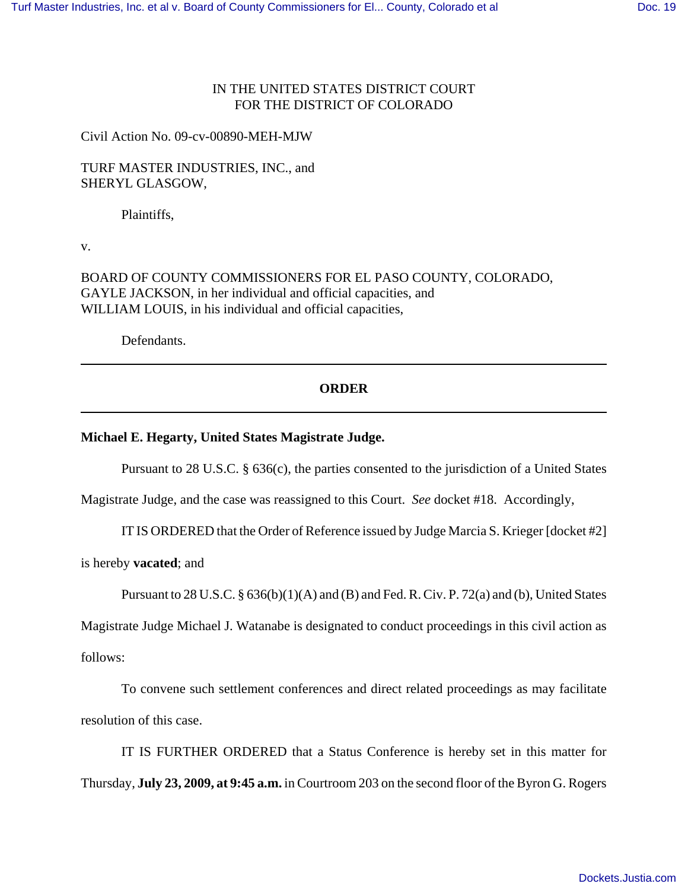# IN THE UNITED STATES DISTRICT COURT FOR THE DISTRICT OF COLORADO

Civil Action No. 09-cv-00890-MEH-MJW

TURF MASTER INDUSTRIES, INC., and SHERYL GLASGOW,

Plaintiffs,

v.

BOARD OF COUNTY COMMISSIONERS FOR EL PASO COUNTY, COLORADO, GAYLE JACKSON, in her individual and official capacities, and WILLIAM LOUIS, in his individual and official capacities,

Defendants.

## **ORDER**

### **Michael E. Hegarty, United States Magistrate Judge.**

Pursuant to 28 U.S.C. § 636(c), the parties consented to the jurisdiction of a United States

Magistrate Judge, and the case was reassigned to this Court. *See* docket #18. Accordingly,

IT IS ORDERED that the Order of Reference issued by Judge Marcia S. Krieger [docket #2]

is hereby **vacated**; and

Pursuant to 28 U.S.C.  $\S 636(b)(1)(A)$  and (B) and Fed. R. Civ. P. 72(a) and (b), United States

Magistrate Judge Michael J. Watanabe is designated to conduct proceedings in this civil action as follows:

To convene such settlement conferences and direct related proceedings as may facilitate resolution of this case.

IT IS FURTHER ORDERED that a Status Conference is hereby set in this matter for Thursday, **July 23, 2009, at 9:45 a.m.** in Courtroom 203 on the second floor of the Byron G. Rogers